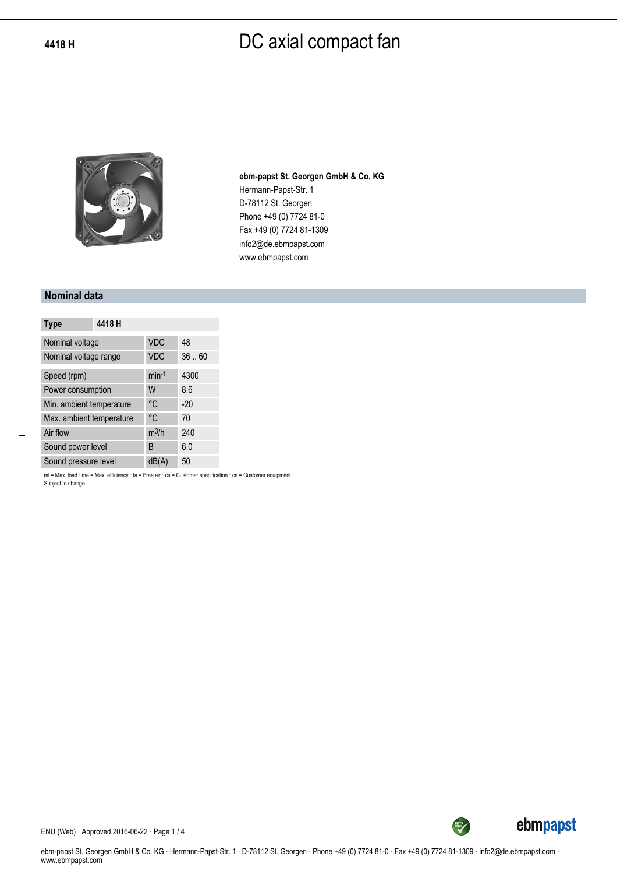

**ebm-papst St. Georgen GmbH & Co. KG** Hermann-Papst-Str. 1 D-78112 St. Georgen Phone +49 (0) 7724 81-0 Fax +49 (0) 7724 81-1309 info2@de.ebmpapst.com www.ebmpapst.com

#### **Nominal data**

| <b>Type</b>              | 4418 H |            |       |
|--------------------------|--------|------------|-------|
| Nominal voltage          |        | <b>VDC</b> | 48    |
| Nominal voltage range    |        | <b>VDC</b> | 36.60 |
| Speed (rpm)              |        | $min-1$    | 4300  |
| Power consumption        |        | W          | 8.6   |
| Min. ambient temperature |        | °C         | $-20$ |
| Max. ambient temperature |        | °C         | 70    |
| Air flow                 |        | $m^3/h$    | 240   |
| Sound power level        |        | B          | 6.0   |
| Sound pressure level     |        | dB(A)      | 50    |

ml = Max. load · me = Max. efficiency · fa = Free air · cs = Customer specification · ce = Customer equipment Subject to change



ENU (Web) · Approved 2016-06-22 · Page 1 / 4

ebm-papst St. Georgen GmbH & Co. KG · Hermann-Papst-Str. 1 · D-78112 St. Georgen · Phone +49 (0) 7724 81-0 · Fax +49 (0) 7724 81-1309 · info2@de.ebmpapst.com · www.ebmpapst.com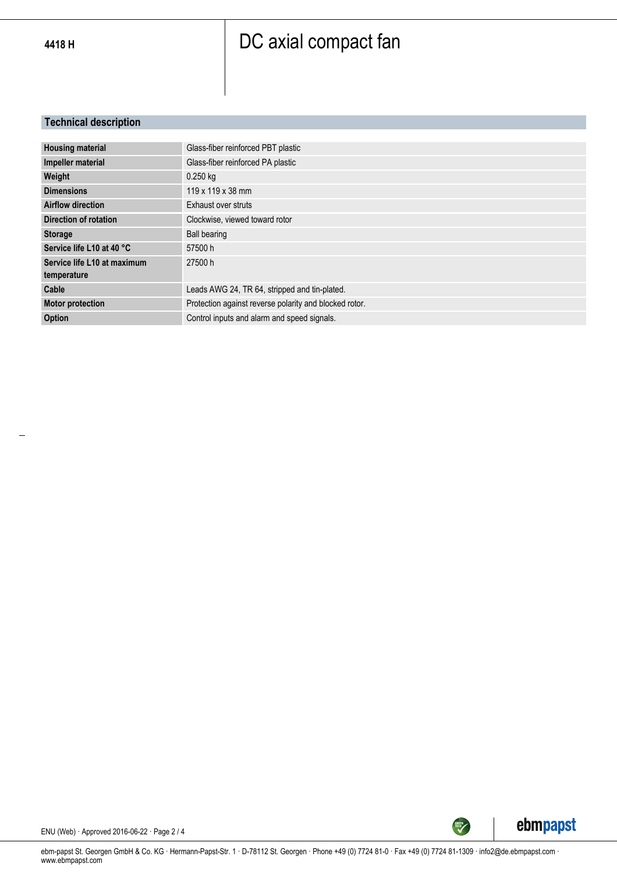#### **Technical description**

| <b>Housing material</b>     | Glass-fiber reinforced PBT plastic                     |
|-----------------------------|--------------------------------------------------------|
| Impeller material           | Glass-fiber reinforced PA plastic                      |
| Weight                      | $0.250$ kg                                             |
| <b>Dimensions</b>           | 119 x 119 x 38 mm                                      |
| <b>Airflow direction</b>    | Exhaust over struts                                    |
| Direction of rotation       | Clockwise, viewed toward rotor                         |
| <b>Storage</b>              | <b>Ball bearing</b>                                    |
| Service life L10 at 40 °C   | 57500 h                                                |
| Service life L10 at maximum | 27500 h                                                |
| temperature                 |                                                        |
| Cable                       | Leads AWG 24, TR 64, stripped and tin-plated.          |
| <b>Motor protection</b>     | Protection against reverse polarity and blocked rotor. |
| Option                      | Control inputs and alarm and speed signals.            |



ENU (Web) · Approved 2016-06-22 · Page 2 / 4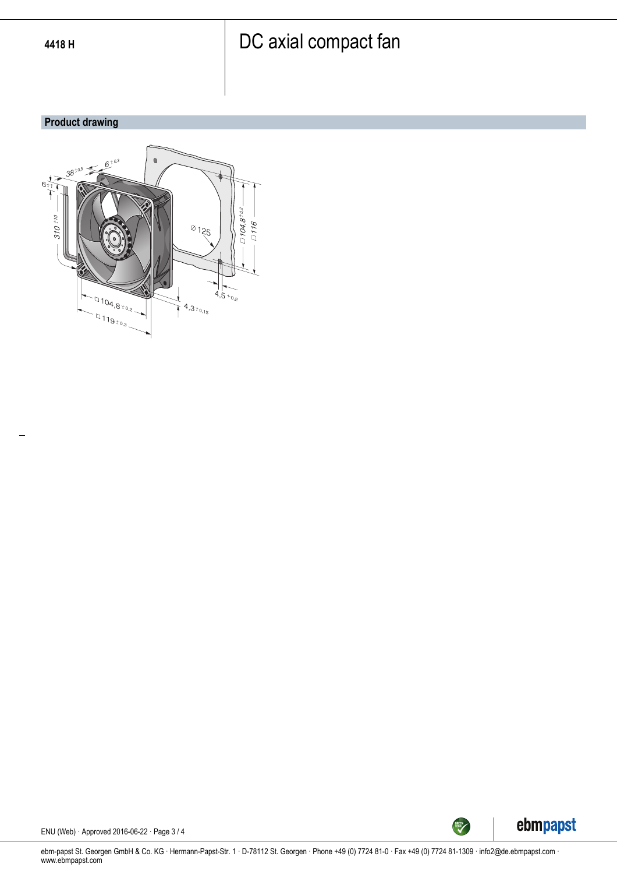#### **Product drawing**





ENU (Web) · Approved 2016-06-22 · Page 3 / 4